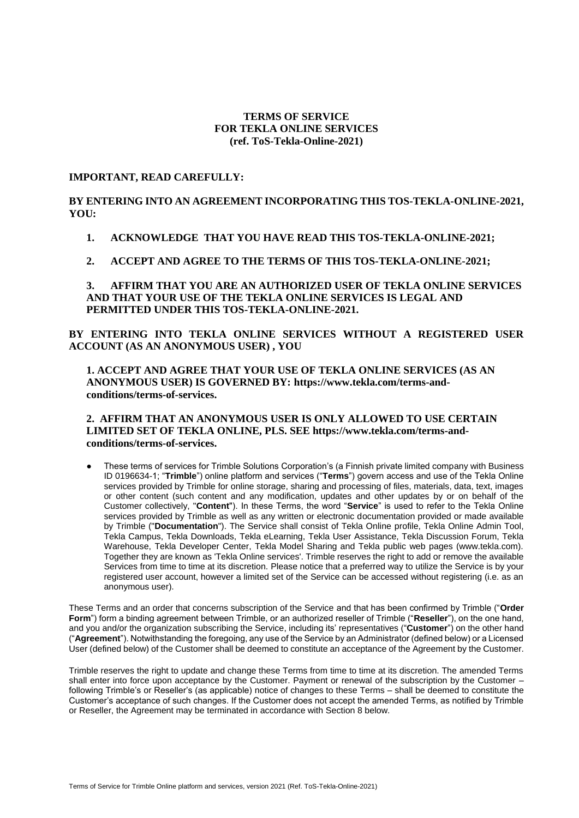# **TERMS OF SERVICE FOR TEKLA ONLINE SERVICES (ref. ToS-Tekla-Online-2021)**

# **IMPORTANT, READ CAREFULLY:**

**BY ENTERING INTO AN AGREEMENT INCORPORATING THIS TOS-TEKLA-ONLINE-2021, YOU:**

- **1. ACKNOWLEDGE THAT YOU HAVE READ THIS TOS-TEKLA-ONLINE-2021;**
- **2. ACCEPT AND AGREE TO THE TERMS OF THIS TOS-TEKLA-ONLINE-2021;**

**3. AFFIRM THAT YOU ARE AN AUTHORIZED USER OF TEKLA ONLINE SERVICES AND THAT YOUR USE OF THE TEKLA ONLINE SERVICES IS LEGAL AND PERMITTED UNDER THIS TOS-TEKLA-ONLINE-2021.**

**BY ENTERING INTO TEKLA ONLINE SERVICES WITHOUT A REGISTERED USER ACCOUNT (AS AN ANONYMOUS USER) , YOU**

**1. ACCEPT AND AGREE THAT YOUR USE OF TEKLA ONLINE SERVICES (AS AN ANONYMOUS USER) IS GOVERNED BY: https://www.tekla.com/terms-andconditions/terms-of-services.**

# **2. AFFIRM THAT AN ANONYMOUS USER IS ONLY ALLOWED TO USE CERTAIN LIMITED SET OF TEKLA ONLINE, PLS. SEE https://www.tekla.com/terms-andconditions/terms-of-services.**

These terms of services for Trimble Solutions Corporation's (a Finnish private limited company with Business ID 0196634-1; "**Trimble**") online platform and services ("**Terms**") govern access and use of the Tekla Online services provided by Trimble for online storage, sharing and processing of files, materials, data, text, images or other content (such content and any modification, updates and other updates by or on behalf of the Customer collectively, "**Content**"). In these Terms, the word "**Service**" is used to refer to the Tekla Online services provided by Trimble as well as any written or electronic documentation provided or made available by Trimble ("**Documentation**"). The Service shall consist of Tekla Online profile, Tekla Online Admin Tool, Tekla Campus, Tekla Downloads, Tekla eLearning, Tekla User Assistance, Tekla Discussion Forum, Tekla Warehouse, Tekla Developer Center, Tekla Model Sharing and Tekla public web pages (www.tekla.com). Together they are known as 'Tekla Online services'. Trimble reserves the right to add or remove the available Services from time to time at its discretion. Please notice that a preferred way to utilize the Service is by your registered user account, however a limited set of the Service can be accessed without registering (i.e. as an anonymous user).

These Terms and an order that concerns subscription of the Service and that has been confirmed by Trimble ("**Order Form**") form a binding agreement between Trimble, or an authorized reseller of Trimble ("**Reseller**"), on the one hand, and you and/or the organization subscribing the Service, including its' representatives ("**Customer**") on the other hand ("**Agreement**"). Notwithstanding the foregoing, any use of the Service by an Administrator (defined below) or a Licensed User (defined below) of the Customer shall be deemed to constitute an acceptance of the Agreement by the Customer.

Trimble reserves the right to update and change these Terms from time to time at its discretion. The amended Terms shall enter into force upon acceptance by the Customer. Payment or renewal of the subscription by the Customer – following Trimble's or Reseller's (as applicable) notice of changes to these Terms – shall be deemed to constitute the Customer's acceptance of such changes. If the Customer does not accept the amended Terms, as notified by Trimble or Reseller, the Agreement may be terminated in accordance with Section [8](#page-4-0) below.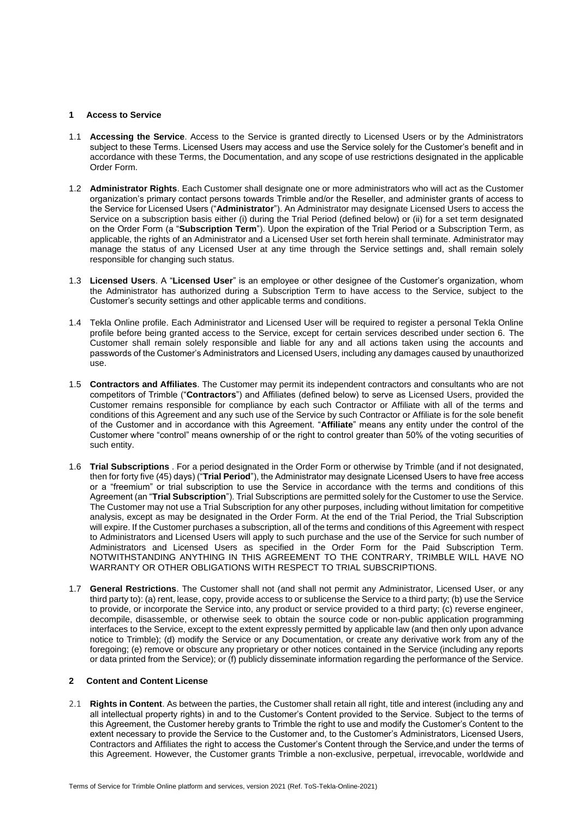### **1 Access to Service**

- 1.1 **Accessing the Service**. Access to the Service is granted directly to Licensed Users or by the Administrators subject to these Terms. Licensed Users may access and use the Service solely for the Customer's benefit and in accordance with these Terms, the Documentation, and any scope of use restrictions designated in the applicable Order Form.
- 1.2 **Administrator Rights**. Each Customer shall designate one or more administrators who will act as the Customer organization's primary contact persons towards Trimble and/or the Reseller, and administer grants of access to the Service for Licensed Users ("**Administrator**"). An Administrator may designate Licensed Users to access the Service on a subscription basis either (i) during the Trial Period (defined below) or (ii) for a set term designated on the Order Form (a "**Subscription Term**"). Upon the expiration of the Trial Period or a Subscription Term, as applicable, the rights of an Administrator and a Licensed User set forth herein shall terminate. Administrator may manage the status of any Licensed User at any time through the Service settings and, shall remain solely responsible for changing such status.
- 1.3 **Licensed Users**. A "**Licensed User**" is an employee or other designee of the Customer's organization, whom the Administrator has authorized during a Subscription Term to have access to the Service, subject to the Customer's security settings and other applicable terms and conditions.
- <span id="page-1-2"></span>1.4 Tekla Online profile. Each Administrator and Licensed User will be required to register a personal Tekla Online profile before being granted access to the Service, except for certain services described under section 6. The Customer shall remain solely responsible and liable for any and all actions taken using the accounts and passwords of the Customer's Administrators and Licensed Users, including any damages caused by unauthorized use.
- 1.5 **Contractors and Affiliates**. The Customer may permit its independent contractors and consultants who are not competitors of Trimble ("**Contractors**") and Affiliates (defined below) to serve as Licensed Users, provided the Customer remains responsible for compliance by each such Contractor or Affiliate with all of the terms and conditions of this Agreement and any such use of the Service by such Contractor or Affiliate is for the sole benefit of the Customer and in accordance with this Agreement. "**Affiliate**" means any entity under the control of the Customer where "control" means ownership of or the right to control greater than 50% of the voting securities of such entity.
- <span id="page-1-1"></span>1.6 **Trial Subscriptions** . For a period designated in the Order Form or otherwise by Trimble (and if not designated, then for forty five (45) days) ("**Trial Period**"), the Administrator may designate Licensed Users to have free access or a "freemium" or trial subscription to use the Service in accordance with the terms and conditions of this Agreement (an "**Trial Subscription**"). Trial Subscriptions are permitted solely for the Customer to use the Service. The Customer may not use a Trial Subscription for any other purposes, including without limitation for competitive analysis, except as may be designated in the Order Form. At the end of the Trial Period, the Trial Subscription will expire. If the Customer purchases a subscription, all of the terms and conditions of this Agreement with respect to Administrators and Licensed Users will apply to such purchase and the use of the Service for such number of Administrators and Licensed Users as specified in the Order Form for the Paid Subscription Term. NOTWITHSTANDING ANYTHING IN THIS AGREEMENT TO THE CONTRARY, TRIMBLE WILL HAVE NO WARRANTY OR OTHER OBLIGATIONS WITH RESPECT TO TRIAL SUBSCRIPTIONS.
- <span id="page-1-3"></span>1.7 **General Restrictions**. The Customer shall not (and shall not permit any Administrator, Licensed User, or any third party to): (a) rent, lease, copy, provide access to or sublicense the Service to a third party; (b) use the Service to provide, or incorporate the Service into, any product or service provided to a third party; (c) reverse engineer, decompile, disassemble, or otherwise seek to obtain the source code or non-public application programming interfaces to the Service, except to the extent expressly permitted by applicable law (and then only upon advance notice to Trimble); (d) modify the Service or any Documentation, or create any derivative work from any of the foregoing; (e) remove or obscure any proprietary or other notices contained in the Service (including any reports or data printed from the Service); or (f) publicly disseminate information regarding the performance of the Service.

### <span id="page-1-0"></span>**2 Content and Content License**

2.1 **Rights in Content**. As between the parties, the Customer shall retain all right, title and interest (including any and all intellectual property rights) in and to the Customer's Content provided to the Service. Subject to the terms of this Agreement, the Customer hereby grants to Trimble the right to use and modify the Customer's Content to the extent necessary to provide the Service to the Customer and, to the Customer's Administrators, Licensed Users, Contractors and Affiliates the right to access the Customer's Content through the Service,and under the terms of this Agreement. However, the Customer grants Trimble a non-exclusive, perpetual, irrevocable, worldwide and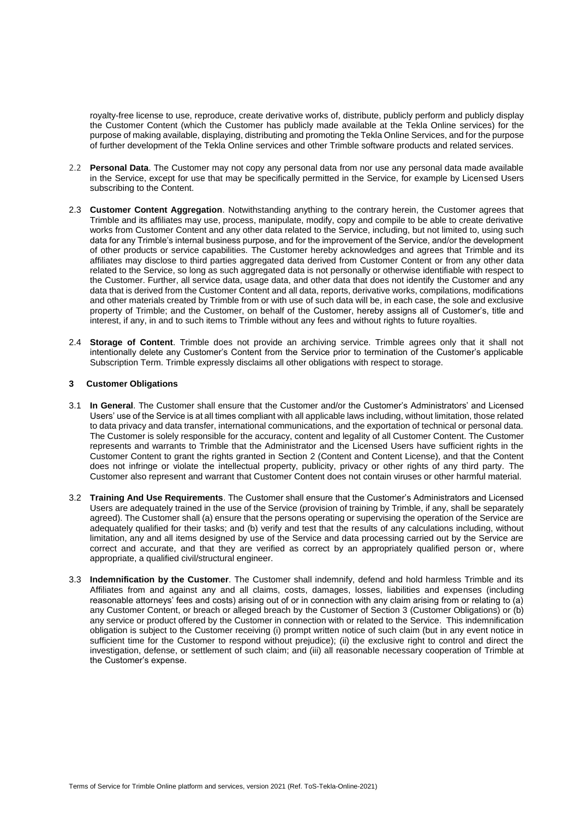royalty-free license to use, reproduce, create derivative works of, distribute, publicly perform and publicly display the Customer Content (which the Customer has publicly made available at the Tekla Online services) for the purpose of making available, displaying, distributing and promoting the Tekla Online Services, and for the purpose of further development of the Tekla Online services and other Trimble software products and related services.

- <span id="page-2-1"></span>2.2 **Personal Data**. The Customer may not copy any personal data from nor use any personal data made available in the Service, except for use that may be specifically permitted in the Service, for example by Licensed Users subscribing to the Content.
- 2.3 **Customer Content Aggregation**. Notwithstanding anything to the contrary herein, the Customer agrees that Trimble and its affiliates may use, process, manipulate, modify, copy and compile to be able to create derivative works from Customer Content and any other data related to the Service, including, but not limited to, using such data for any Trimble's internal business purpose, and for the improvement of the Service, and/or the development of other products or service capabilities. The Customer hereby acknowledges and agrees that Trimble and its affiliates may disclose to third parties aggregated data derived from Customer Content or from any other data related to the Service, so long as such aggregated data is not personally or otherwise identifiable with respect to the Customer. Further, all service data, usage data, and other data that does not identify the Customer and any data that is derived from the Customer Content and all data, reports, derivative works, compilations, modifications and other materials created by Trimble from or with use of such data will be, in each case, the sole and exclusive property of Trimble; and the Customer, on behalf of the Customer, hereby assigns all of Customer's, title and interest, if any, in and to such items to Trimble without any fees and without rights to future royalties.
- 2.4 **Storage of Content**. Trimble does not provide an archiving service. Trimble agrees only that it shall not intentionally delete any Customer's Content from the Service prior to termination of the Customer's applicable Subscription Term. Trimble expressly disclaims all other obligations with respect to storage.

#### <span id="page-2-0"></span>**3 Customer Obligations**

- 3.1 **In General**. The Customer shall ensure that the Customer and/or the Customer's Administrators' and Licensed Users' use of the Service is at all times compliant with all applicable laws including, without limitation, those related to data privacy and data transfer, international communications, and the exportation of technical or personal data. The Customer is solely responsible for the accuracy, content and legality of all Customer Content. The Customer represents and warrants to Trimble that the Administrator and the Licensed Users have sufficient rights in the Customer Content to grant the rights granted in Section [2](#page-1-0) (Content and Content License), and that the Content does not infringe or violate the intellectual property, publicity, privacy or other rights of any third party. The Customer also represent and warrant that Customer Content does not contain viruses or other harmful material.
- 3.2 **Training And Use Requirements**. The Customer shall ensure that the Customer's Administrators and Licensed Users are adequately trained in the use of the Service (provision of training by Trimble, if any, shall be separately agreed). The Customer shall (a) ensure that the persons operating or supervising the operation of the Service are adequately qualified for their tasks; and (b) verify and test that the results of any calculations including, without limitation, any and all items designed by use of the Service and data processing carried out by the Service are correct and accurate, and that they are verified as correct by an appropriately qualified person or, where appropriate, a qualified civil/structural engineer.
- <span id="page-2-2"></span>3.3 **Indemnification by the Customer**. The Customer shall indemnify, defend and hold harmless Trimble and its Affiliates from and against any and all claims, costs, damages, losses, liabilities and expenses (including reasonable attorneys' fees and costs) arising out of or in connection with any claim arising from or relating to (a) any Customer Content, or breach or alleged breach by the Customer of Section [3](#page-2-0) (Customer Obligations) or (b) any service or product offered by the Customer in connection with or related to the Service. This indemnification obligation is subject to the Customer receiving (i) prompt written notice of such claim (but in any event notice in sufficient time for the Customer to respond without prejudice); (ii) the exclusive right to control and direct the investigation, defense, or settlement of such claim; and (iii) all reasonable necessary cooperation of Trimble at the Customer's expense.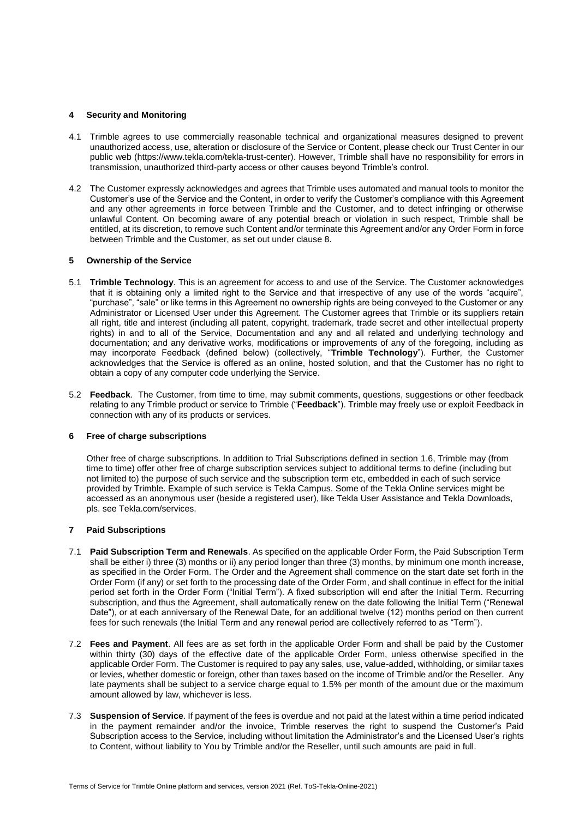### **4 Security and Monitoring**

- 4.1 Trimble agrees to use commercially reasonable technical and organizational measures designed to prevent unauthorized access, use, alteration or disclosure of the Service or Content, please check our Trust Center in our public web (https://www.tekla.com/tekla-trust-center). However, Trimble shall have no responsibility for errors in transmission, unauthorized third-party access or other causes beyond Trimble's control.
- 4.2 The Customer expressly acknowledges and agrees that Trimble uses automated and manual tools to monitor the Customer's use of the Service and the Content, in order to verify the Customer's compliance with this Agreement and any other agreements in force between Trimble and the Customer, and to detect infringing or otherwise unlawful Content. On becoming aware of any potential breach or violation in such respect, Trimble shall be entitled, at its discretion, to remove such Content and/or terminate this Agreement and/or any Order Form in force between Trimble and the Customer, as set out under claus[e 8.](#page-4-0)

### <span id="page-3-1"></span>**5 Ownership of the Service**

- 5.1 **Trimble Technology**. This is an agreement for access to and use of the Service. The Customer acknowledges that it is obtaining only a limited right to the Service and that irrespective of any use of the words "acquire", "purchase", "sale" or like terms in this Agreement no ownership rights are being conveyed to the Customer or any Administrator or Licensed User under this Agreement. The Customer agrees that Trimble or its suppliers retain all right, title and interest (including all patent, copyright, trademark, trade secret and other intellectual property rights) in and to all of the Service, Documentation and any and all related and underlying technology and documentation; and any derivative works, modifications or improvements of any of the foregoing, including as may incorporate Feedback (defined below) (collectively, "**Trimble Technology**"). Further, the Customer acknowledges that the Service is offered as an online, hosted solution, and that the Customer has no right to obtain a copy of any computer code underlying the Service.
- 5.2 **Feedback**. The Customer, from time to time, may submit comments, questions, suggestions or other feedback relating to any Trimble product or service to Trimble ("**Feedback**"). Trimble may freely use or exploit Feedback in connection with any of its products or services.

### **6 Free of charge subscriptions**

Other free of charge subscriptions. In addition to Trial Subscriptions defined in section [1.6,](#page-1-1) Trimble may (from time to time) offer other free of charge subscription services subject to additional terms to define (including but not limited to) the purpose of such service and the subscription term etc, embedded in each of such service provided by Trimble. Example of such service is Tekla Campus. Some of the Tekla Online services might be accessed as an anonymous user (beside a registered user), like Tekla User Assistance and Tekla Downloads, pls. see Tekla.com/services.

### **7 Paid Subscriptions**

- <span id="page-3-0"></span>7.1 **Paid Subscription Term and Renewals**. As specified on the applicable Order Form, the Paid Subscription Term shall be either i) three (3) months or ii) any period longer than three (3) months, by minimum one month increase, as specified in the Order Form. The Order and the Agreement shall commence on the start date set forth in the Order Form (if any) or set forth to the processing date of the Order Form, and shall continue in effect for the initial period set forth in the Order Form ("Initial Term"). A fixed subscription will end after the Initial Term. Recurring subscription, and thus the Agreement, shall automatically renew on the date following the Initial Term ("Renewal Date"), or at each anniversary of the Renewal Date, for an additional twelve (12) months period on then current fees for such renewals (the Initial Term and any renewal period are collectively referred to as "Term").
- <span id="page-3-2"></span>7.2 **Fees and Payment**. All fees are as set forth in the applicable Order Form and shall be paid by the Customer within thirty (30) days of the effective date of the applicable Order Form, unless otherwise specified in the applicable Order Form. The Customer is required to pay any sales, use, value-added, withholding, or similar taxes or levies, whether domestic or foreign, other than taxes based on the income of Trimble and/or the Reseller. Any late payments shall be subject to a service charge equal to 1.5% per month of the amount due or the maximum amount allowed by law, whichever is less.
- 7.3 **Suspension of Service**. If payment of the fees is overdue and not paid at the latest within a time period indicated in the payment remainder and/or the invoice, Trimble reserves the right to suspend the Customer's Paid Subscription access to the Service, including without limitation the Administrator's and the Licensed User's rights to Content, without liability to You by Trimble and/or the Reseller, until such amounts are paid in full.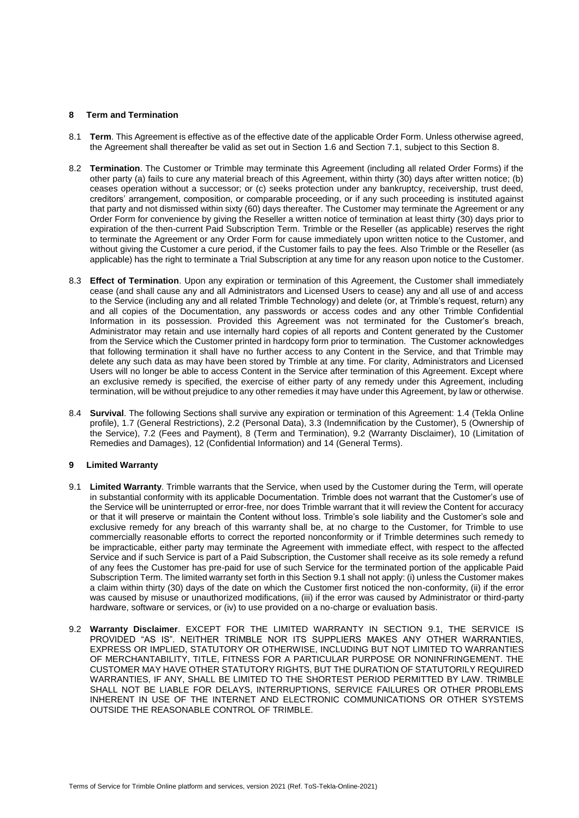#### <span id="page-4-0"></span>**8 Term and Termination**

- 8.1 **Term**. This Agreement is effective as of the effective date of the applicable Order Form. Unless otherwise agreed, the Agreement shall thereafter be valid as set out in Section [1.6](#page-1-1) and Section [7.1,](#page-3-0) subject to this Section [8.](#page-4-0)
- 8.2 **Termination**. The Customer or Trimble may terminate this Agreement (including all related Order Forms) if the other party (a) fails to cure any material breach of this Agreement, within thirty (30) days after written notice; (b) ceases operation without a successor; or (c) seeks protection under any bankruptcy, receivership, trust deed, creditors' arrangement, composition, or comparable proceeding, or if any such proceeding is instituted against that party and not dismissed within sixty (60) days thereafter. The Customer may terminate the Agreement or any Order Form for convenience by giving the Reseller a written notice of termination at least thirty (30) days prior to expiration of the then-current Paid Subscription Term. Trimble or the Reseller (as applicable) reserves the right to terminate the Agreement or any Order Form for cause immediately upon written notice to the Customer, and without giving the Customer a cure period, if the Customer fails to pay the fees. Also Trimble or the Reseller (as applicable) has the right to terminate a Trial Subscription at any time for any reason upon notice to the Customer.
- 8.3 **Effect of Termination**. Upon any expiration or termination of this Agreement, the Customer shall immediately cease (and shall cause any and all Administrators and Licensed Users to cease) any and all use of and access to the Service (including any and all related Trimble Technology) and delete (or, at Trimble's request, return) any and all copies of the Documentation, any passwords or access codes and any other Trimble Confidential Information in its possession. Provided this Agreement was not terminated for the Customer's breach, Administrator may retain and use internally hard copies of all reports and Content generated by the Customer from the Service which the Customer printed in hardcopy form prior to termination. The Customer acknowledges that following termination it shall have no further access to any Content in the Service, and that Trimble may delete any such data as may have been stored by Trimble at any time. For clarity, Administrators and Licensed Users will no longer be able to access Content in the Service after termination of this Agreement. Except where an exclusive remedy is specified, the exercise of either party of any remedy under this Agreement, including termination, will be without prejudice to any other remedies it may have under this Agreement, by law or otherwise.
- 8.4 **Survival**. The following Sections shall survive any expiration or termination of this Agreement: [1.4](#page-1-2) (Tekla Online profile), [1.7](#page-1-3) (General Restrictions), [2.2](#page-2-1) (Personal Data), [3.3](#page-2-2) (Indemnification by the Customer), [5](#page-3-1) (Ownership of the Service), [7.2](#page-3-2) (Fees and Payment), [8](#page-4-0) (Term and Termination), [9.2](#page-4-1) (Warranty Disclaimer), [10](#page-5-0) (Limitation of Remedies and Damages)[, 12](#page-5-1) (Confidential Information) and [14](#page-7-0) (General Terms).

### **9 Limited Warranty**

- <span id="page-4-2"></span>9.1 **Limited Warranty**. Trimble warrants that the Service, when used by the Customer during the Term, will operate in substantial conformity with its applicable Documentation. Trimble does not warrant that the Customer's use of the Service will be uninterrupted or error-free, nor does Trimble warrant that it will review the Content for accuracy or that it will preserve or maintain the Content without loss. Trimble's sole liability and the Customer's sole and exclusive remedy for any breach of this warranty shall be, at no charge to the Customer, for Trimble to use commercially reasonable efforts to correct the reported nonconformity or if Trimble determines such remedy to be impracticable, either party may terminate the Agreement with immediate effect, with respect to the affected Service and if such Service is part of a Paid Subscription, the Customer shall receive as its sole remedy a refund of any fees the Customer has pre-paid for use of such Service for the terminated portion of the applicable Paid Subscription Term. The limited warranty set forth in this Section [9.1](#page-4-2) shall not apply: (i) unless the Customer makes a claim within thirty (30) days of the date on which the Customer first noticed the non-conformity, (ii) if the error was caused by misuse or unauthorized modifications, (iii) if the error was caused by Administrator or third-party hardware, software or services, or (iv) to use provided on a no-charge or evaluation basis.
- <span id="page-4-1"></span>9.2 **Warranty Disclaimer**. EXCEPT FOR THE LIMITED WARRANTY IN SECTION [9.1,](#page-4-2) THE SERVICE IS PROVIDED "AS IS". NEITHER TRIMBLE NOR ITS SUPPLIERS MAKES ANY OTHER WARRANTIES, EXPRESS OR IMPLIED, STATUTORY OR OTHERWISE, INCLUDING BUT NOT LIMITED TO WARRANTIES OF MERCHANTABILITY, TITLE, FITNESS FOR A PARTICULAR PURPOSE OR NONINFRINGEMENT. THE CUSTOMER MAY HAVE OTHER STATUTORY RIGHTS, BUT THE DURATION OF STATUTORILY REQUIRED WARRANTIES, IF ANY, SHALL BE LIMITED TO THE SHORTEST PERIOD PERMITTED BY LAW. TRIMBLE SHALL NOT BE LIABLE FOR DELAYS, INTERRUPTIONS, SERVICE FAILURES OR OTHER PROBLEMS INHERENT IN USE OF THE INTERNET AND ELECTRONIC COMMUNICATIONS OR OTHER SYSTEMS OUTSIDE THE REASONABLE CONTROL OF TRIMBLE.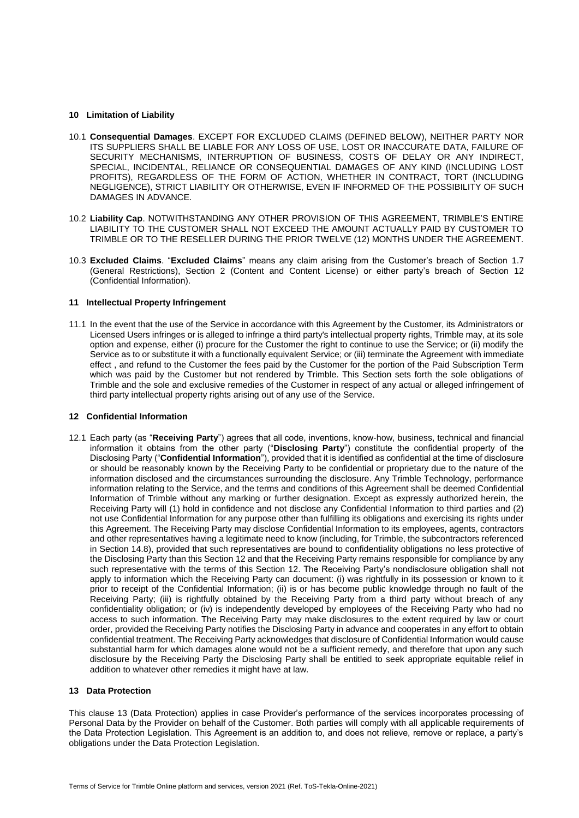### <span id="page-5-0"></span>**10 Limitation of Liability**

- 10.1 **Consequential Damages**. EXCEPT FOR EXCLUDED CLAIMS (DEFINED BELOW), NEITHER PARTY NOR ITS SUPPLIERS SHALL BE LIABLE FOR ANY LOSS OF USE, LOST OR INACCURATE DATA, FAILURE OF SECURITY MECHANISMS, INTERRUPTION OF BUSINESS, COSTS OF DELAY OR ANY INDIRECT, SPECIAL, INCIDENTAL, RELIANCE OR CONSEQUENTIAL DAMAGES OF ANY KIND (INCLUDING LOST PROFITS), REGARDLESS OF THE FORM OF ACTION, WHETHER IN CONTRACT, TORT (INCLUDING NEGLIGENCE), STRICT LIABILITY OR OTHERWISE, EVEN IF INFORMED OF THE POSSIBILITY OF SUCH DAMAGES IN ADVANCE.
- 10.2 **Liability Cap**. NOTWITHSTANDING ANY OTHER PROVISION OF THIS AGREEMENT, TRIMBLE'S ENTIRE LIABILITY TO THE CUSTOMER SHALL NOT EXCEED THE AMOUNT ACTUALLY PAID BY CUSTOMER TO TRIMBLE OR TO THE RESELLER DURING THE PRIOR TWELVE (12) MONTHS UNDER THE AGREEMENT.
- 10.3 **Excluded Claims**. "**Excluded Claims**" means any claim arising from the Customer's breach of Section [1.7](#page-1-3) (General Restrictions), Section [2](#page-1-0) (Content and Content License) or either party's breach of Section [12](#page-5-1) (Confidential Information).

### **11 Intellectual Property Infringement**

11.1 In the event that the use of the Service in accordance with this Agreement by the Customer, its Administrators or Licensed Users infringes or is alleged to infringe a third party's intellectual property rights, Trimble may, at its sole option and expense, either (i) procure for the Customer the right to continue to use the Service; or (ii) modify the Service as to or substitute it with a functionally equivalent Service; or (iii) terminate the Agreement with immediate effect , and refund to the Customer the fees paid by the Customer for the portion of the Paid Subscription Term which was paid by the Customer but not rendered by Trimble. This Section sets forth the sole obligations of Trimble and the sole and exclusive remedies of the Customer in respect of any actual or alleged infringement of third party intellectual property rights arising out of any use of the Service.

#### <span id="page-5-1"></span>**12 Confidential Information**

12.1 Each party (as "**Receiving Party**") agrees that all code, inventions, know-how, business, technical and financial information it obtains from the other party ("**Disclosing Party**") constitute the confidential property of the Disclosing Party ("**Confidential Information**"), provided that it is identified as confidential at the time of disclosure or should be reasonably known by the Receiving Party to be confidential or proprietary due to the nature of the information disclosed and the circumstances surrounding the disclosure. Any Trimble Technology, performance information relating to the Service, and the terms and conditions of this Agreement shall be deemed Confidential Information of Trimble without any marking or further designation. Except as expressly authorized herein, the Receiving Party will (1) hold in confidence and not disclose any Confidential Information to third parties and (2) not use Confidential Information for any purpose other than fulfilling its obligations and exercising its rights under this Agreement. The Receiving Party may disclose Confidential Information to its employees, agents, contractors and other representatives having a legitimate need to know (including, for Trimble, the subcontractors referenced in Section [14.8\)](#page-8-0), provided that such representatives are bound to confidentiality obligations no less protective of the Disclosing Party than this Section [12](#page-5-1) and that the Receiving Party remains responsible for compliance by any such representative with the terms of this Section [12.](#page-5-1) The Receiving Party's nondisclosure obligation shall not apply to information which the Receiving Party can document: (i) was rightfully in its possession or known to it prior to receipt of the Confidential Information; (ii) is or has become public knowledge through no fault of the Receiving Party; (iii) is rightfully obtained by the Receiving Party from a third party without breach of any confidentiality obligation; or (iv) is independently developed by employees of the Receiving Party who had no access to such information. The Receiving Party may make disclosures to the extent required by law or court order, provided the Receiving Party notifies the Disclosing Party in advance and cooperates in any effort to obtain confidential treatment. The Receiving Party acknowledges that disclosure of Confidential Information would cause substantial harm for which damages alone would not be a sufficient remedy, and therefore that upon any such disclosure by the Receiving Party the Disclosing Party shall be entitled to seek appropriate equitable relief in addition to whatever other remedies it might have at law.

#### <span id="page-5-2"></span>**13 Data Protection**

This clause [13](#page-5-2) (Data Protection) applies in case Provider's performance of the services incorporates processing of Personal Data by the Provider on behalf of the Customer. Both parties will comply with all applicable requirements of the Data Protection Legislation. This Agreement is an addition to, and does not relieve, remove or replace, a party's obligations under the Data Protection Legislation.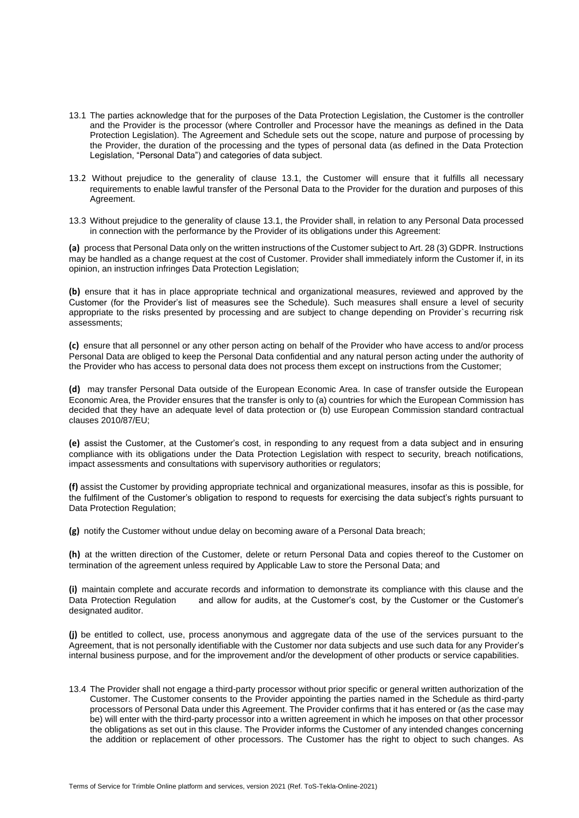- <span id="page-6-0"></span>13.1 The parties acknowledge that for the purposes of the Data Protection Legislation, the Customer is the controller and the Provider is the processor (where Controller and Processor have the meanings as defined in the Data Protection Legislation). The Agreement and Schedule sets out the scope, nature and purpose of processing by the Provider, the duration of the processing and the types of personal data (as defined in the Data Protection Legislation, "Personal Data") and categories of data subject.
- 13.2 Without prejudice to the generality of clause [13.1,](#page-6-0) the Customer will ensure that it fulfills all necessary requirements to enable lawful transfer of the Personal Data to the Provider for the duration and purposes of this Agreement.
- 13.3 Without prejudice to the generality of claus[e 13.1,](#page-6-0) the Provider shall, in relation to any Personal Data processed in connection with the performance by the Provider of its obligations under this Agreement:

**(a)** process that Personal Data only on the written instructions of the Customer subject to Art. 28 (3) GDPR. Instructions may be handled as a change request at the cost of Customer. Provider shall immediately inform the Customer if, in its opinion, an instruction infringes Data Protection Legislation;

**(b)** ensure that it has in place appropriate technical and organizational measures, reviewed and approved by the Customer (for the Provider's list of measures see the Schedule). Such measures shall ensure a level of security appropriate to the risks presented by processing and are subject to change depending on Provider`s recurring risk assessments;

**(c)** ensure that all personnel or any other person acting on behalf of the Provider who have access to and/or process Personal Data are obliged to keep the Personal Data confidential and any natural person acting under the authority of the Provider who has access to personal data does not process them except on instructions from the Customer;

**(d)** may transfer Personal Data outside of the European Economic Area. In case of transfer outside the European Economic Area, the Provider ensures that the transfer is only to (a) countries for which the European Commission has decided that they have an adequate level of data protection or (b) use European Commission standard contractual clauses 2010/87/EU;

**(e)** assist the Customer, at the Customer's cost, in responding to any request from a data subject and in ensuring compliance with its obligations under the Data Protection Legislation with respect to security, breach notifications, impact assessments and consultations with supervisory authorities or regulators;

**(f)** assist the Customer by providing appropriate technical and organizational measures, insofar as this is possible, for the fulfilment of the Customer's obligation to respond to requests for exercising the data subject's rights pursuant to Data Protection Regulation;

**(g)** notify the Customer without undue delay on becoming aware of a Personal Data breach;

**(h)** at the written direction of the Customer, delete or return Personal Data and copies thereof to the Customer on termination of the agreement unless required by Applicable Law to store the Personal Data; and

**(i)** maintain complete and accurate records and information to demonstrate its compliance with this clause and the Data Protection Regulation and allow for audits, at the Customer's cost, by the Customer or the Customer's designated auditor.

**(j)** be entitled to collect, use, process anonymous and aggregate data of the use of the services pursuant to the Agreement, that is not personally identifiable with the Customer nor data subjects and use such data for any Provider's internal business purpose, and for the improvement and/or the development of other products or service capabilities.

13.4 The Provider shall not engage a third-party processor without prior specific or general written authorization of the Customer. The Customer consents to the Provider appointing the parties named in the Schedule as third-party processors of Personal Data under this Agreement. The Provider confirms that it has entered or (as the case may be) will enter with the third-party processor into a written agreement in which he imposes on that other processor the obligations as set out in this clause. The Provider informs the Customer of any intended changes concerning the addition or replacement of other processors. The Customer has the right to object to such changes. As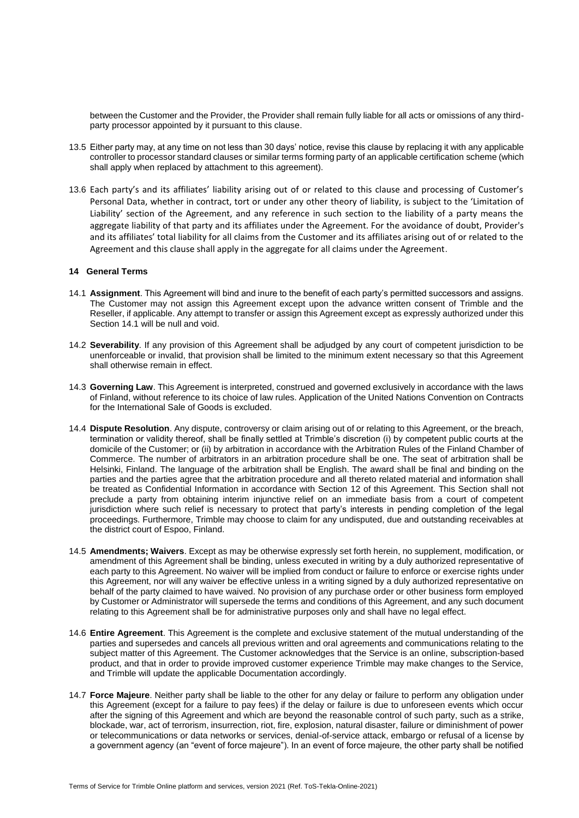between the Customer and the Provider, the Provider shall remain fully liable for all acts or omissions of any thirdparty processor appointed by it pursuant to this clause.

- 13.5 Either party may, at any time on not less than 30 days' notice, revise this clause by replacing it with any applicable controller to processor standard clauses or similar terms forming party of an applicable certification scheme (which shall apply when replaced by attachment to this agreement).
- 13.6 Each party's and its affiliates' liability arising out of or related to this clause and processing of Customer's Personal Data, whether in contract, tort or under any other theory of liability, is subject to the 'Limitation of Liability' section of the Agreement, and any reference in such section to the liability of a party means the aggregate liability of that party and its affiliates under the Agreement. For the avoidance of doubt, Provider's and its affiliates' total liability for all claims from the Customer and its affiliates arising out of or related to the Agreement and this clause shall apply in the aggregate for all claims under the Agreement.

### <span id="page-7-0"></span>**14 General Terms**

- <span id="page-7-1"></span>14.1 **Assignment**. This Agreement will bind and inure to the benefit of each party's permitted successors and assigns. The Customer may not assign this Agreement except upon the advance written consent of Trimble and the Reseller, if applicable. Any attempt to transfer or assign this Agreement except as expressly authorized under this Section [14.1](#page-7-1) will be null and void.
- 14.2 **Severability**. If any provision of this Agreement shall be adjudged by any court of competent jurisdiction to be unenforceable or invalid, that provision shall be limited to the minimum extent necessary so that this Agreement shall otherwise remain in effect.
- 14.3 **Governing Law**. This Agreement is interpreted, construed and governed exclusively in accordance with the laws of Finland, without reference to its choice of law rules. Application of the United Nations Convention on Contracts for the International Sale of Goods is excluded.
- 14.4 **Dispute Resolution**. Any dispute, controversy or claim arising out of or relating to this Agreement, or the breach, termination or validity thereof, shall be finally settled at Trimble's discretion (i) by competent public courts at the domicile of the Customer; or (ii) by arbitration in accordance with the Arbitration Rules of the Finland Chamber of Commerce. The number of arbitrators in an arbitration procedure shall be one. The seat of arbitration shall be Helsinki, Finland. The language of the arbitration shall be English. The award shall be final and binding on the parties and the parties agree that the arbitration procedure and all thereto related material and information shall be treated as Confidential Information in accordance with Section [12](#page-5-1) of this Agreement. This Section shall not preclude a party from obtaining interim injunctive relief on an immediate basis from a court of competent jurisdiction where such relief is necessary to protect that party's interests in pending completion of the legal proceedings. Furthermore, Trimble may choose to claim for any undisputed, due and outstanding receivables at the district court of Espoo, Finland.
- 14.5 **Amendments; Waivers**. Except as may be otherwise expressly set forth herein, no supplement, modification, or amendment of this Agreement shall be binding, unless executed in writing by a duly authorized representative of each party to this Agreement. No waiver will be implied from conduct or failure to enforce or exercise rights under this Agreement, nor will any waiver be effective unless in a writing signed by a duly authorized representative on behalf of the party claimed to have waived. No provision of any purchase order or other business form employed by Customer or Administrator will supersede the terms and conditions of this Agreement, and any such document relating to this Agreement shall be for administrative purposes only and shall have no legal effect.
- 14.6 **Entire Agreement**. This Agreement is the complete and exclusive statement of the mutual understanding of the parties and supersedes and cancels all previous written and oral agreements and communications relating to the subject matter of this Agreement. The Customer acknowledges that the Service is an online, subscription-based product, and that in order to provide improved customer experience Trimble may make changes to the Service, and Trimble will update the applicable Documentation accordingly.
- 14.7 **Force Majeure**. Neither party shall be liable to the other for any delay or failure to perform any obligation under this Agreement (except for a failure to pay fees) if the delay or failure is due to unforeseen events which occur after the signing of this Agreement and which are beyond the reasonable control of such party, such as a strike, blockade, war, act of terrorism, insurrection, riot, fire, explosion, natural disaster, failure or diminishment of power or telecommunications or data networks or services, denial-of-service attack, embargo or refusal of a license by a government agency (an "event of force majeure"). In an event of force majeure, the other party shall be notified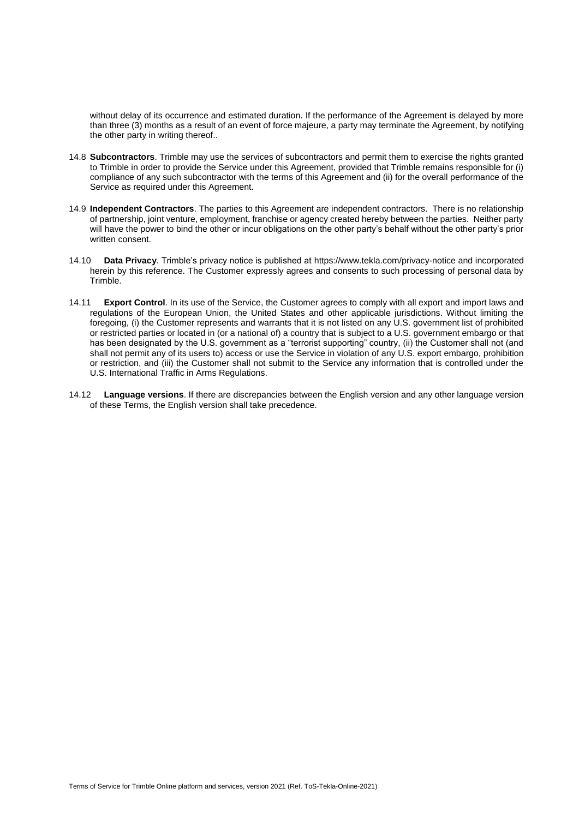without delay of its occurrence and estimated duration. If the performance of the Agreement is delayed by more than three (3) months as a result of an event of force majeure, a party may terminate the Agreement, by notifying the other party in writing thereof..

- <span id="page-8-0"></span>14.8 **Subcontractors**. Trimble may use the services of subcontractors and permit them to exercise the rights granted to Trimble in order to provide the Service under this Agreement, provided that Trimble remains responsible for (i) compliance of any such subcontractor with the terms of this Agreement and (ii) for the overall performance of the Service as required under this Agreement.
- 14.9 **Independent Contractors**. The parties to this Agreement are independent contractors. There is no relationship of partnership, joint venture, employment, franchise or agency created hereby between the parties. Neither party will have the power to bind the other or incur obligations on the other party's behalf without the other party's prior written consent.
- 14.10 **Data Privacy**. Trimble's privacy notice is published at<https://www.tekla.com/privacy-notice> and incorporated herein by this reference. The Customer expressly agrees and consents to such processing of personal data by Trimble.
- 14.11 **Export Control**. In its use of the Service, the Customer agrees to comply with all export and import laws and regulations of the European Union, the United States and other applicable jurisdictions. Without limiting the foregoing, (i) the Customer represents and warrants that it is not listed on any U.S. government list of prohibited or restricted parties or located in (or a national of) a country that is subject to a U.S. government embargo or that has been designated by the U.S. government as a "terrorist supporting" country, (ii) the Customer shall not (and shall not permit any of its users to) access or use the Service in violation of any U.S. export embargo, prohibition or restriction, and (iii) the Customer shall not submit to the Service any information that is controlled under the U.S. International Traffic in Arms Regulations.
- 14.12 **Language versions**. If there are discrepancies between the English version and any other language version of these Terms, the English version shall take precedence.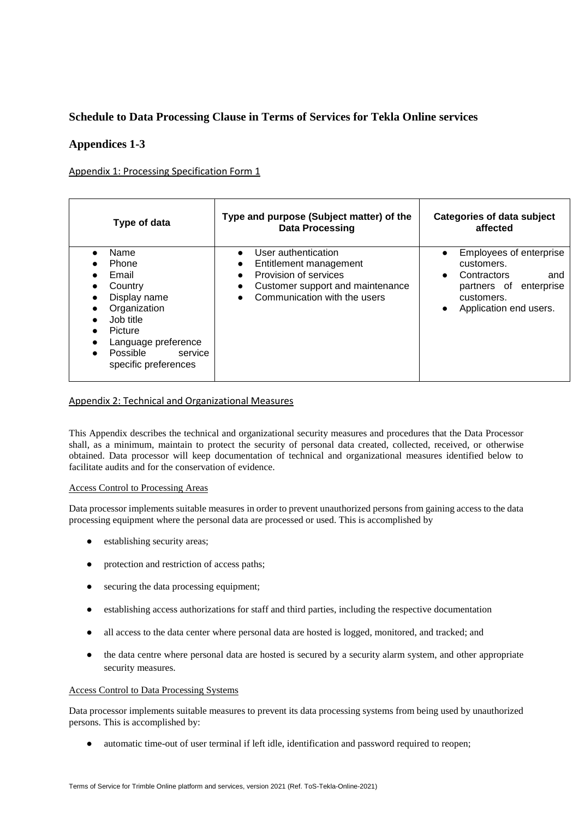# **Schedule to Data Processing Clause in Terms of Services for Tekla Online services**

# **Appendices 1-3**

# Appendix 1: Processing Specification Form 1

| Type of data                                                                                                                                                    | Type and purpose (Subject matter) of the<br><b>Data Processing</b>                                                                                                                     | <b>Categories of data subject</b><br>affected                                                                                                 |
|-----------------------------------------------------------------------------------------------------------------------------------------------------------------|----------------------------------------------------------------------------------------------------------------------------------------------------------------------------------------|-----------------------------------------------------------------------------------------------------------------------------------------------|
| Name<br>Phone<br>Email<br>Country<br>Display name<br>Organization<br>Job title<br>Picture<br>Language preference<br>Possible<br>service<br>specific preferences | User authentication<br>$\bullet$<br>Entitlement management<br>٠<br>Provision of services<br>$\bullet$<br>Customer support and maintenance<br>Communication with the users<br>$\bullet$ | Employees of enterprise<br>customers.<br>Contractors<br>and<br>$\bullet$<br>enterprise<br>partners of<br>customers.<br>Application end users. |

# Appendix 2: Technical and Organizational Measures

This Appendix describes the technical and organizational security measures and procedures that the Data Processor shall, as a minimum, maintain to protect the security of personal data created, collected, received, or otherwise obtained. Data processor will keep documentation of technical and organizational measures identified below to facilitate audits and for the conservation of evidence.

# Access Control to Processing Areas

Data processor implements suitable measures in order to prevent unauthorized persons from gaining access to the data processing equipment where the personal data are processed or used. This is accomplished by

- establishing security areas;
- protection and restriction of access paths;
- securing the data processing equipment;
- establishing access authorizations for staff and third parties, including the respective documentation
- all access to the data center where personal data are hosted is logged, monitored, and tracked; and
- the data centre where personal data are hosted is secured by a security alarm system, and other appropriate security measures.

### Access Control to Data Processing Systems

Data processor implements suitable measures to prevent its data processing systems from being used by unauthorized persons. This is accomplished by:

automatic time-out of user terminal if left idle, identification and password required to reopen;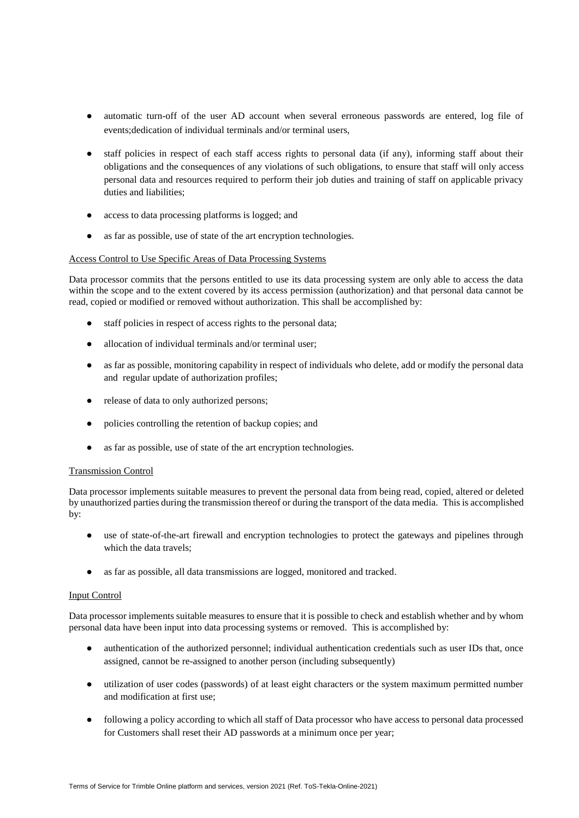- automatic turn-off of the user AD account when several erroneous passwords are entered, log file of events;dedication of individual terminals and/or terminal users,
- staff policies in respect of each staff access rights to personal data (if any), informing staff about their obligations and the consequences of any violations of such obligations, to ensure that staff will only access personal data and resources required to perform their job duties and training of staff on applicable privacy duties and liabilities;
- access to data processing platforms is logged; and
- as far as possible, use of state of the art encryption technologies.

# Access Control to Use Specific Areas of Data Processing Systems

Data processor commits that the persons entitled to use its data processing system are only able to access the data within the scope and to the extent covered by its access permission (authorization) and that personal data cannot be read, copied or modified or removed without authorization. This shall be accomplished by:

- staff policies in respect of access rights to the personal data;
- allocation of individual terminals and/or terminal user;
- as far as possible, monitoring capability in respect of individuals who delete, add or modify the personal data and regular update of authorization profiles;
- release of data to only authorized persons;
- policies controlling the retention of backup copies; and
- as far as possible, use of state of the art encryption technologies.

# Transmission Control

Data processor implements suitable measures to prevent the personal data from being read, copied, altered or deleted by unauthorized parties during the transmission thereof or during the transport of the data media. This is accomplished by:

- use of state-of-the-art firewall and encryption technologies to protect the gateways and pipelines through which the data travels;
- as far as possible, all data transmissions are logged, monitored and tracked.

# Input Control

Data processor implements suitable measures to ensure that it is possible to check and establish whether and by whom personal data have been input into data processing systems or removed. This is accomplished by:

- authentication of the authorized personnel; individual authentication credentials such as user IDs that, once assigned, cannot be re-assigned to another person (including subsequently)
- utilization of user codes (passwords) of at least eight characters or the system maximum permitted number and modification at first use;
- following a policy according to which all staff of Data processor who have access to personal data processed for Customers shall reset their AD passwords at a minimum once per year;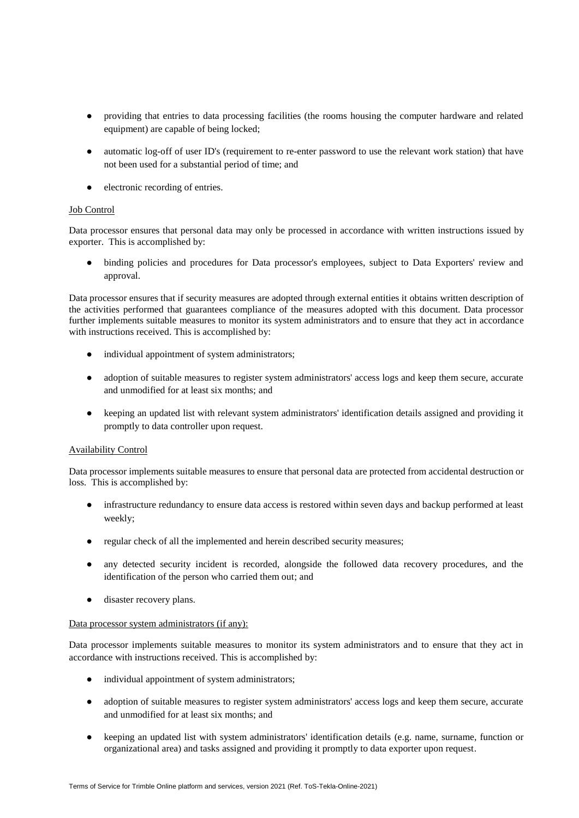- providing that entries to data processing facilities (the rooms housing the computer hardware and related equipment) are capable of being locked;
- automatic log-off of user ID's (requirement to re-enter password to use the relevant work station) that have not been used for a substantial period of time; and
- electronic recording of entries.

# Job Control

Data processor ensures that personal data may only be processed in accordance with written instructions issued by exporter. This is accomplished by:

● binding policies and procedures for Data processor's employees, subject to Data Exporters' review and approval.

Data processor ensures that if security measures are adopted through external entities it obtains written description of the activities performed that guarantees compliance of the measures adopted with this document. Data processor further implements suitable measures to monitor its system administrators and to ensure that they act in accordance with instructions received. This is accomplished by:

- individual appointment of system administrators;
- adoption of suitable measures to register system administrators' access logs and keep them secure, accurate and unmodified for at least six months; and
- keeping an updated list with relevant system administrators' identification details assigned and providing it promptly to data controller upon request.

# Availability Control

Data processor implements suitable measures to ensure that personal data are protected from accidental destruction or loss. This is accomplished by:

- infrastructure redundancy to ensure data access is restored within seven days and backup performed at least weekly;
- regular check of all the implemented and herein described security measures;
- any detected security incident is recorded, alongside the followed data recovery procedures, and the identification of the person who carried them out; and
- disaster recovery plans.

# Data processor system administrators (if any):

Data processor implements suitable measures to monitor its system administrators and to ensure that they act in accordance with instructions received. This is accomplished by:

- individual appointment of system administrators;
- adoption of suitable measures to register system administrators' access logs and keep them secure, accurate and unmodified for at least six months; and
- keeping an updated list with system administrators' identification details (e.g. name, surname, function or organizational area) and tasks assigned and providing it promptly to data exporter upon request.